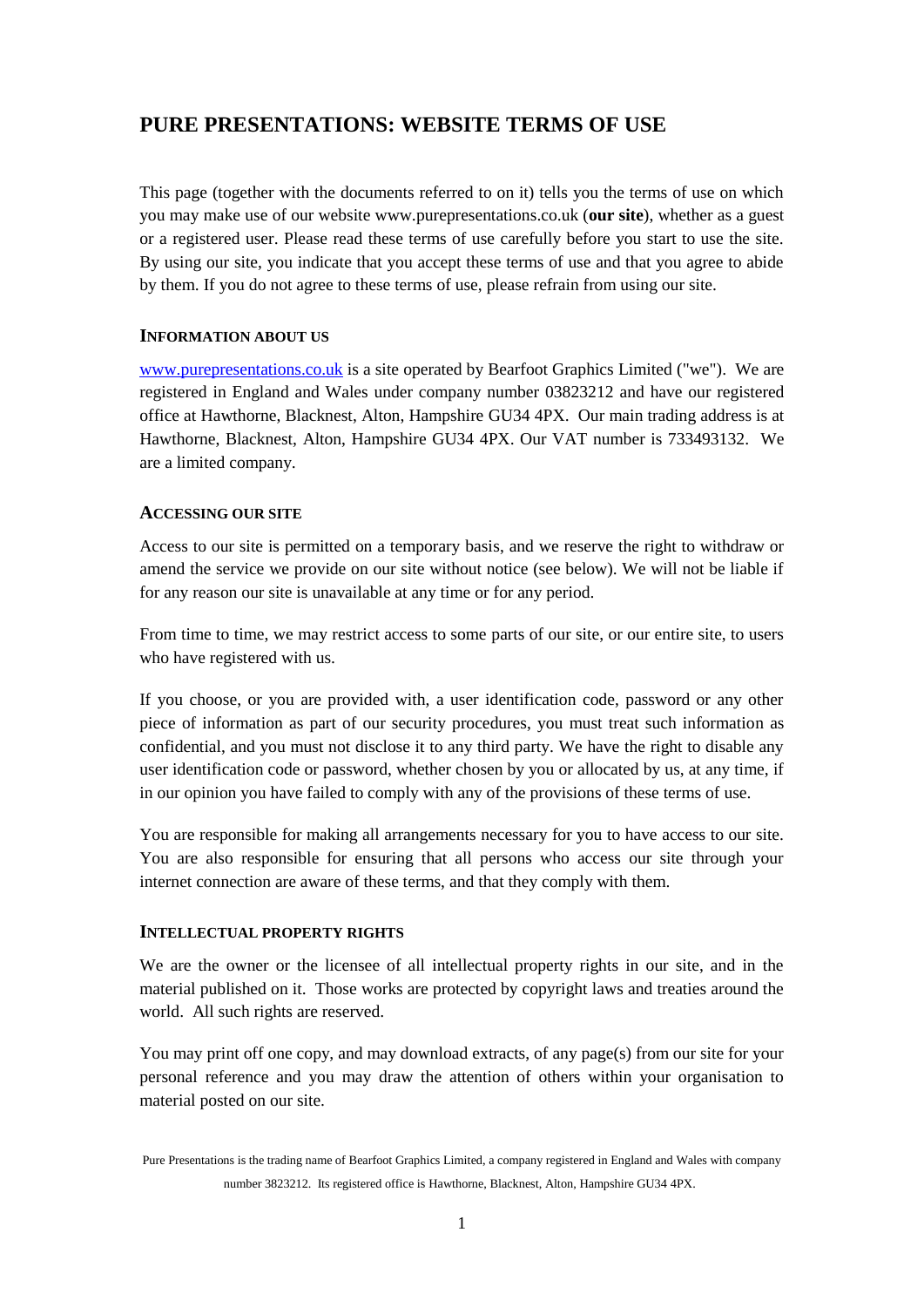# **PURE PRESENTATIONS: WEBSITE TERMS OF USE**

This page (together with the documents referred to on it) tells you the terms of use on which you may make use of our website www.purepresentations.co.uk (**our site**), whether as a guest or a registered user. Please read these terms of use carefully before you start to use the site. By using our site, you indicate that you accept these terms of use and that you agree to abide by them. If you do not agree to these terms of use, please refrain from using our site.

# **INFORMATION ABOUT US**

[www.purepresentations.co.uk](http://www.purepresentations.co.uk/) is a site operated by Bearfoot Graphics Limited ("we"). We are registered in England and Wales under company number 03823212 and have our registered office at Hawthorne, Blacknest, Alton, Hampshire GU34 4PX. Our main trading address is at Hawthorne, Blacknest, Alton, Hampshire GU34 4PX. Our VAT number is 733493132. We are a limited company.

# **ACCESSING OUR SITE**

Access to our site is permitted on a temporary basis, and we reserve the right to withdraw or amend the service we provide on our site without notice (see below). We will not be liable if for any reason our site is unavailable at any time or for any period.

From time to time, we may restrict access to some parts of our site, or our entire site, to users who have registered with us.

If you choose, or you are provided with, a user identification code, password or any other piece of information as part of our security procedures, you must treat such information as confidential, and you must not disclose it to any third party. We have the right to disable any user identification code or password, whether chosen by you or allocated by us, at any time, if in our opinion you have failed to comply with any of the provisions of these terms of use.

You are responsible for making all arrangements necessary for you to have access to our site. You are also responsible for ensuring that all persons who access our site through your internet connection are aware of these terms, and that they comply with them.

#### **INTELLECTUAL PROPERTY RIGHTS**

We are the owner or the licensee of all intellectual property rights in our site, and in the material published on it. Those works are protected by copyright laws and treaties around the world. All such rights are reserved.

You may print off one copy, and may download extracts, of any page(s) from our site for your personal reference and you may draw the attention of others within your organisation to material posted on our site.

Pure Presentations is the trading name of Bearfoot Graphics Limited, a company registered in England and Wales with company number 3823212. Its registered office is Hawthorne, Blacknest, Alton, Hampshire GU34 4PX.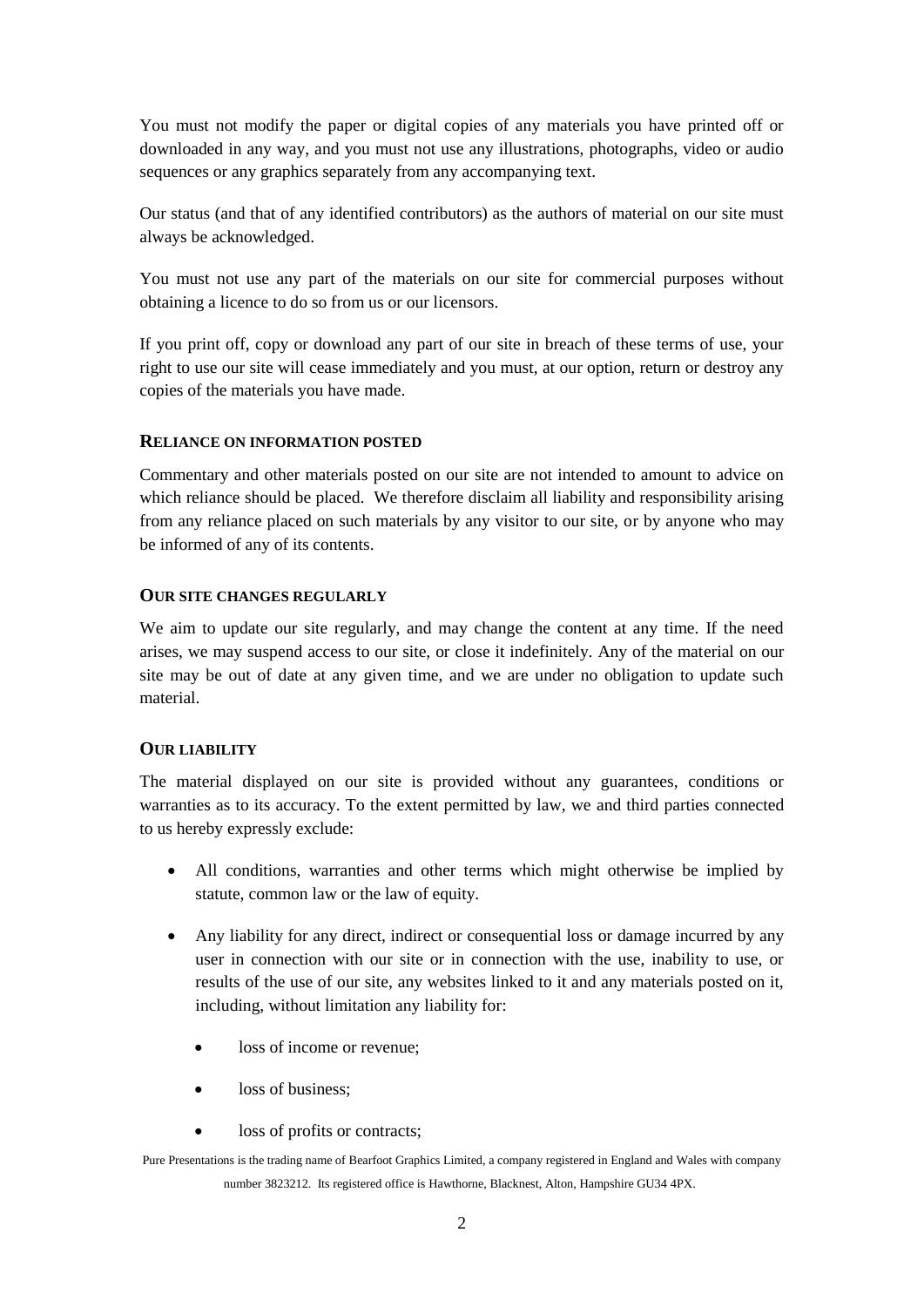You must not modify the paper or digital copies of any materials you have printed off or downloaded in any way, and you must not use any illustrations, photographs, video or audio sequences or any graphics separately from any accompanying text.

Our status (and that of any identified contributors) as the authors of material on our site must always be acknowledged.

You must not use any part of the materials on our site for commercial purposes without obtaining a licence to do so from us or our licensors.

If you print off, copy or download any part of our site in breach of these terms of use, your right to use our site will cease immediately and you must, at our option, return or destroy any copies of the materials you have made.

# **RELIANCE ON INFORMATION POSTED**

Commentary and other materials posted on our site are not intended to amount to advice on which reliance should be placed. We therefore disclaim all liability and responsibility arising from any reliance placed on such materials by any visitor to our site, or by anyone who may be informed of any of its contents.

# **OUR SITE CHANGES REGULARLY**

We aim to update our site regularly, and may change the content at any time. If the need arises, we may suspend access to our site, or close it indefinitely. Any of the material on our site may be out of date at any given time, and we are under no obligation to update such material.

#### **OUR LIABILITY**

The material displayed on our site is provided without any guarantees, conditions or warranties as to its accuracy. To the extent permitted by law, we and third parties connected to us hereby expressly exclude:

- All conditions, warranties and other terms which might otherwise be implied by statute, common law or the law of equity.
- Any liability for any direct, indirect or consequential loss or damage incurred by any user in connection with our site or in connection with the use, inability to use, or results of the use of our site, any websites linked to it and any materials posted on it, including, without limitation any liability for:
	- loss of income or revenue:
	- loss of business:
	- loss of profits or contracts;

Pure Presentations is the trading name of Bearfoot Graphics Limited, a company registered in England and Wales with company number 3823212. Its registered office is Hawthorne, Blacknest, Alton, Hampshire GU34 4PX.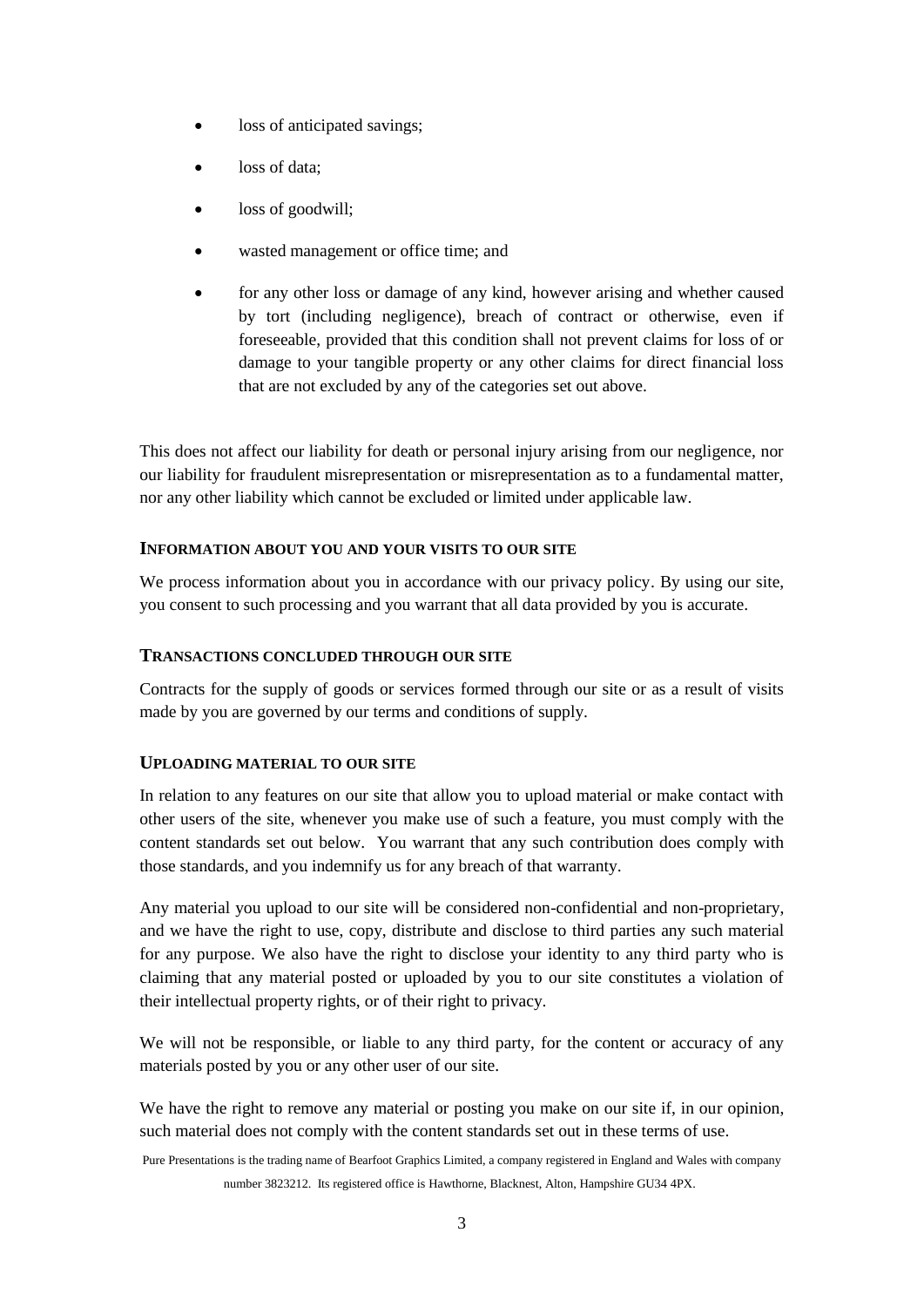- loss of anticipated savings;
- loss of data;
- loss of goodwill;
- wasted management or office time; and
- for any other loss or damage of any kind, however arising and whether caused by tort (including negligence), breach of contract or otherwise, even if foreseeable, provided that this condition shall not prevent claims for loss of or damage to your tangible property or any other claims for direct financial loss that are not excluded by any of the categories set out above.

This does not affect our liability for death or personal injury arising from our negligence, nor our liability for fraudulent misrepresentation or misrepresentation as to a fundamental matter, nor any other liability which cannot be excluded or limited under applicable law.

#### **INFORMATION ABOUT YOU AND YOUR VISITS TO OUR SITE**

We process information about you in accordance with our [privacy policy](http://purepresentations.co.uk/wp-content/uploads/Pure-Presentations-Privacy-Policy-v0.3.pdf). By using our site, you consent to such processing and you warrant that all data provided by you is accurate.

#### **TRANSACTIONS CONCLUDED THROUGH OUR SITE**

Contracts for the supply of goods or services formed through our site or as a result of visits made by you are governed by our [terms and conditions of supply.](http://purepresentations.co.uk/wp-content/uploads/Pure-Presentations-Terms-and-Conditions-of-Supply.pdf)

#### **UPLOADING MATERIAL TO OUR SITE**

In relation to any features on our site that allow you to upload material or make contact with other users of the site, whenever you make use of such a feature, you must comply with the content standards set out below. You warrant that any such contribution does comply with those standards, and you indemnify us for any breach of that warranty.

Any material you upload to our site will be considered non-confidential and non-proprietary, and we have the right to use, copy, distribute and disclose to third parties any such material for any purpose. We also have the right to disclose your identity to any third party who is claiming that any material posted or uploaded by you to our site constitutes a violation of their intellectual property rights, or of their right to privacy.

We will not be responsible, or liable to any third party, for the content or accuracy of any materials posted by you or any other user of our site.

We have the right to remove any material or posting you make on our site if, in our opinion, such material does not comply with the content standards set out in these terms of use.

Pure Presentations is the trading name of Bearfoot Graphics Limited, a company registered in England and Wales with company number 3823212. Its registered office is Hawthorne, Blacknest, Alton, Hampshire GU34 4PX.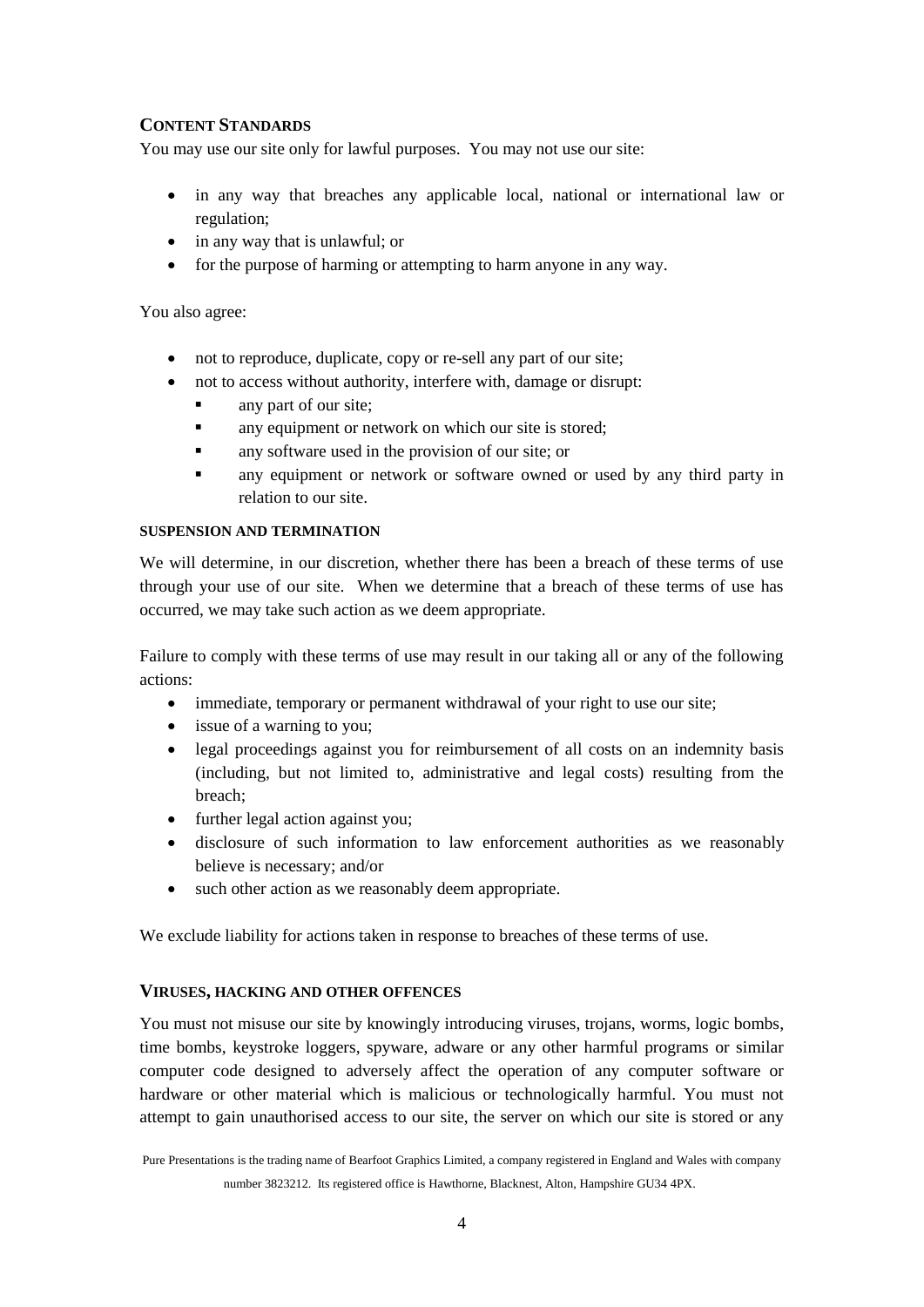# **CONTENT STANDARDS**

You may use our site only for lawful purposes. You may not use our site:

- in any way that breaches any applicable local, national or international law or regulation;
- in any way that is unlawful; or
- for the purpose of harming or attempting to harm anyone in any way.

You also agree:

- not to reproduce, duplicate, copy or re-sell any part of our site;
- not to access without authority, interfere with, damage or disrupt:
	- any part of our site;
	- **a** any equipment or network on which our site is stored;
	- **a** any software used in the provision of our site; or
	- any equipment or network or software owned or used by any third party in relation to our site.

#### **SUSPENSION AND TERMINATION**

We will determine, in our discretion, whether there has been a breach of these terms of use through your use of our site. When we determine that a breach of these terms of use has occurred, we may take such action as we deem appropriate.

Failure to comply with these terms of use may result in our taking all or any of the following actions:

- immediate, temporary or permanent withdrawal of your right to use our site;
- issue of a warning to you;
- legal proceedings against you for reimbursement of all costs on an indemnity basis (including, but not limited to, administrative and legal costs) resulting from the breach;
- further legal action against you;
- disclosure of such information to law enforcement authorities as we reasonably believe is necessary; and/or
- such other action as we reasonably deem appropriate.

We exclude liability for actions taken in response to breaches of these terms of use.

#### **VIRUSES, HACKING AND OTHER OFFENCES**

You must not misuse our site by knowingly introducing viruses, trojans, worms, logic bombs, time bombs, keystroke loggers, spyware, adware or any other harmful programs or similar computer code designed to adversely affect the operation of any computer software or hardware or other material which is malicious or technologically harmful. You must not attempt to gain unauthorised access to our site, the server on which our site is stored or any

Pure Presentations is the trading name of Bearfoot Graphics Limited, a company registered in England and Wales with company number 3823212. Its registered office is Hawthorne, Blacknest, Alton, Hampshire GU34 4PX.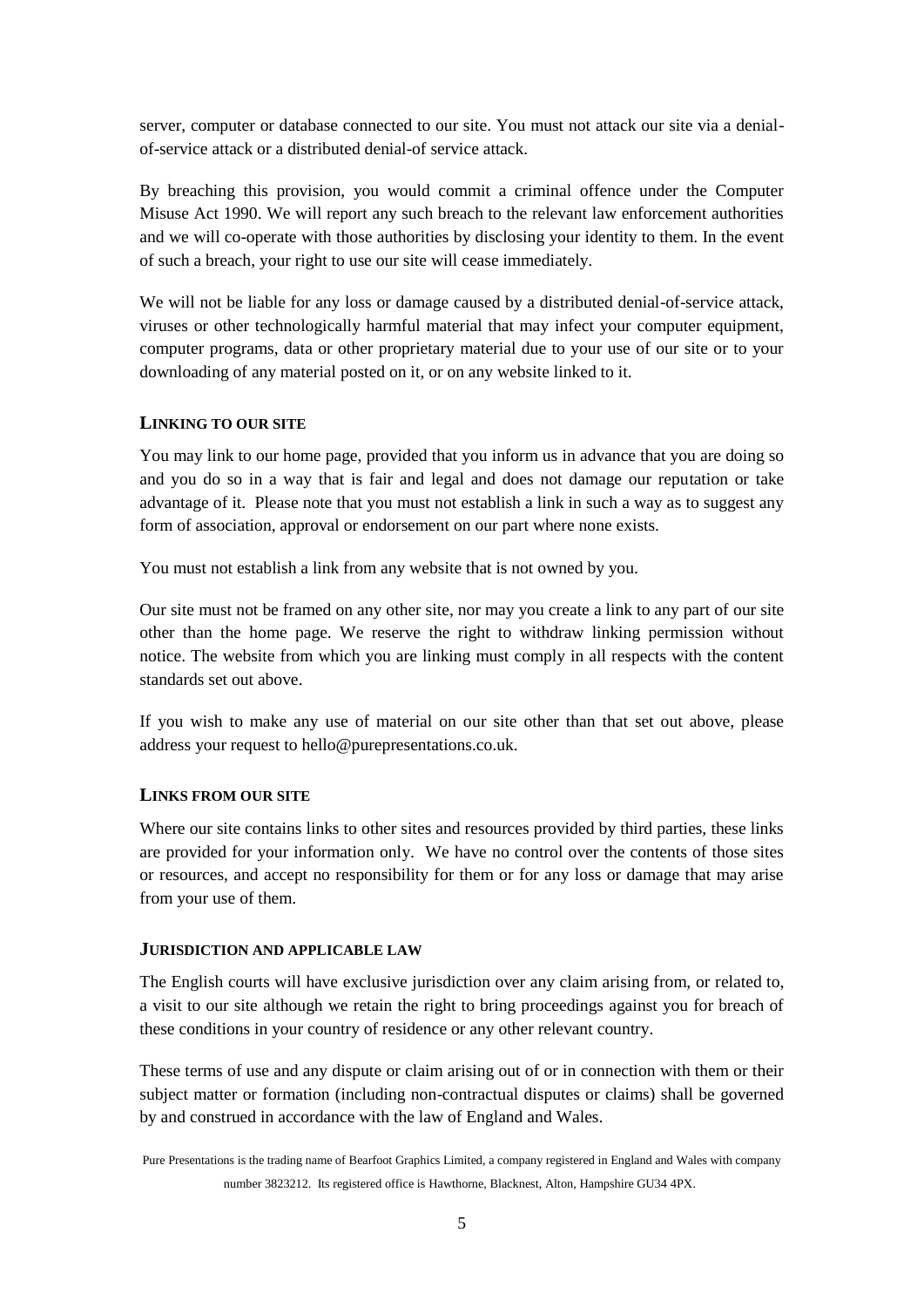server, computer or database connected to our site. You must not attack our site via a denialof-service attack or a distributed denial-of service attack.

By breaching this provision, you would commit a criminal offence under the Computer Misuse Act 1990. We will report any such breach to the relevant law enforcement authorities and we will co-operate with those authorities by disclosing your identity to them. In the event of such a breach, your right to use our site will cease immediately.

We will not be liable for any loss or damage caused by a distributed denial-of-service attack, viruses or other technologically harmful material that may infect your computer equipment, computer programs, data or other proprietary material due to your use of our site or to your downloading of any material posted on it, or on any website linked to it.

# **LINKING TO OUR SITE**

You may link to our home page, provided that you inform us in advance that you are doing so and you do so in a way that is fair and legal and does not damage our reputation or take advantage of it. Please note that you must not establish a link in such a way as to suggest any form of association, approval or endorsement on our part where none exists.

You must not establish a link from any website that is not owned by you.

Our site must not be framed on any other site, nor may you create a link to any part of our site other than the home page. We reserve the right to withdraw linking permission without notice. The website from which you are linking must comply in all respects with the content standards set out above.

If you wish to make any use of material on our site other than that set out above, please address your request to hello@purepresentations.co.uk.

#### **LINKS FROM OUR SITE**

Where our site contains links to other sites and resources provided by third parties, these links are provided for your information only. We have no control over the contents of those sites or resources, and accept no responsibility for them or for any loss or damage that may arise from your use of them.

#### **JURISDICTION AND APPLICABLE LAW**

The English courts will have exclusive jurisdiction over any claim arising from, or related to, a visit to our site although we retain the right to bring proceedings against you for breach of these conditions in your country of residence or any other relevant country.

These terms of use and any dispute or claim arising out of or in connection with them or their subject matter or formation (including non-contractual disputes or claims) shall be governed by and construed in accordance with the law of England and Wales.

Pure Presentations is the trading name of Bearfoot Graphics Limited, a company registered in England and Wales with company number 3823212. Its registered office is Hawthorne, Blacknest, Alton, Hampshire GU34 4PX.